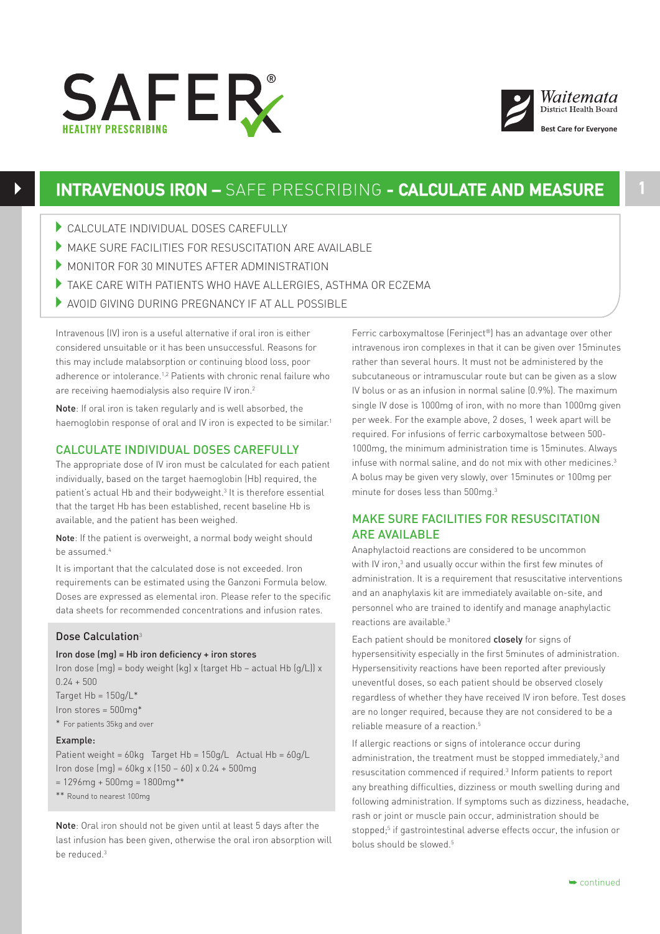



# **INTRAVENOUS IRON –** SAFE PRESCRIBING **- CALCULATE AND MEASURE**

- 4CALCULATE INDIVIDUAL DOSES CAREFULLY
- 4MAKE SURE FACILITIES FOR RESUSCITATION ARE AVAILABLE
- MONITOR FOR 30 MINUTES AFTER ADMINISTRATION
- $\blacktriangleright$  TAKE CARE WITH PATIENTS WHO HAVE ALLERGIES, ASTHMA OR ECZEMA
- 4AVOID GIVING DURING PREGNANCY IF AT ALL POSSIBLE

Intravenous (IV) iron is a useful alternative if oral iron is either considered unsuitable or it has been unsuccessful. Reasons for this may include malabsorption or continuing blood loss, poor adherence or intolerance.1,2 Patients with chronic renal failure who are receiving haemodialysis also require IV iron.<sup>2</sup>

Note: If oral iron is taken regularly and is well absorbed, the haemoglobin response of oral and IV iron is expected to be similar.<sup>1</sup>

## CALCULATE INDIVIDUAL DOSES CAREFULLY

The appropriate dose of IV iron must be calculated for each patient individually, based on the target haemoglobin (Hb) required, the patient's actual Hb and their bodyweight.3 It is therefore essential that the target Hb has been established, recent baseline Hb is available, and the patient has been weighed.

Note: If the patient is overweight, a normal body weight should be assumed.4

It is important that the calculated dose is not exceeded. Iron requirements can be estimated using the Ganzoni Formula below. Doses are expressed as elemental iron. Please refer to the specific data sheets for recommended concentrations and infusion rates.

### Dose Calculation<sup>3</sup>

### Iron dose (mg) = Hb iron deficiency + iron stores

Iron dose (mg) = body weight (kg) x (target Hb – actual Hb (g/L)) x  $0.24 + 500$ Target  $Hb = 150g/L^*$ 

Iron stores = 500mg\* \* For patients 35kg and over

#### Example:

Patient weight = 60kg Target Hb = 150g/L Actual Hb = 60g/L Iron dose (mg) = 60kg x (150 – 60) x 0.24 + 500mg  $= 1296mg + 500mg = 1800mg**$ \*\* Round to nearest 100mg

Note: Oral iron should not be given until at least 5 days after the last infusion has been given, otherwise the oral iron absorption will be reduced.3

Ferric carboxymaltose (Ferinject®) has an advantage over other intravenous iron complexes in that it can be given over 15minutes rather than several hours. It must not be administered by the subcutaneous or intramuscular route but can be given as a slow IV bolus or as an infusion in normal saline (0.9%). The maximum single IV dose is 1000mg of iron, with no more than 1000mg given per week. For the example above, 2 doses, 1 week apart will be required. For infusions of ferric carboxymaltose between 500- 1000mg, the minimum administration time is 15minutes. Always infuse with normal saline, and do not mix with other medicines.<sup>3</sup> A bolus may be given very slowly, over 15minutes or 100mg per minute for doses less than 500mg.3

# MAKE SURE FACILITIES FOR RESUSCITATION ARE AVAILABLE

Anaphylactoid reactions are considered to be uncommon with IV iron,<sup>3</sup> and usually occur within the first few minutes of administration. It is a requirement that resuscitative interventions and an anaphylaxis kit are immediately available on-site, and personnel who are trained to identify and manage anaphylactic reactions are available.<sup>3</sup>

Each patient should be monitored closely for signs of hypersensitivity especially in the first 5minutes of administration. Hypersensitivity reactions have been reported after previously uneventful doses, so each patient should be observed closely regardless of whether they have received IV iron before. Test doses are no longer required, because they are not considered to be a reliable measure of a reaction.5

If allergic reactions or signs of intolerance occur during administration, the treatment must be stopped immediately,<sup>3</sup> and resuscitation commenced if required.<sup>3</sup> Inform patients to report any breathing difficulties, dizziness or mouth swelling during and following administration. If symptoms such as dizziness, headache, rash or joint or muscle pain occur, administration should be stopped;<sup>5</sup> if gastrointestinal adverse effects occur, the infusion or bolus should be slowed.<sup>5</sup>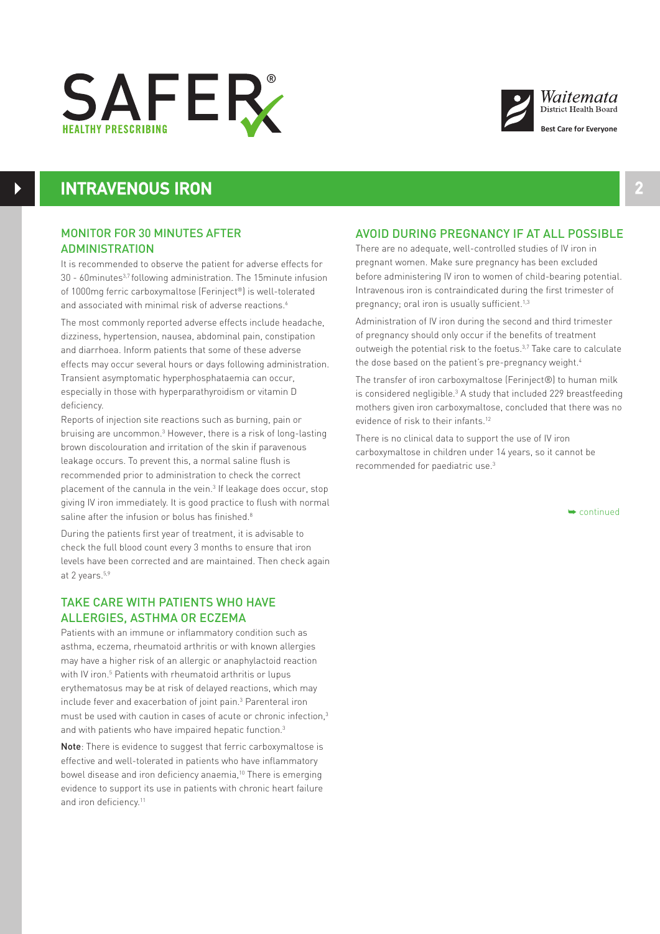



# **INTRAVENOUS IRON**

 $\blacktriangleright$ 

## MONITOR FOR 30 MINUTES AFTER ADMINISTRATION

It is recommended to observe the patient for adverse effects for 30 - 60minutes<sup>3,7</sup> following administration. The 15minute infusion of 1000mg ferric carboxymaltose (Ferinject®) is well-tolerated and associated with minimal risk of adverse reactions.<sup>6</sup>

The most commonly reported adverse effects include headache, dizziness, hypertension, nausea, abdominal pain, constipation and diarrhoea. Inform patients that some of these adverse effects may occur several hours or days following administration. Transient asymptomatic hyperphosphataemia can occur, especially in those with hyperparathyroidism or vitamin D deficiency.

Reports of injection site reactions such as burning, pain or bruising are uncommon.3 However, there is a risk of long-lasting brown discolouration and irritation of the skin if paravenous leakage occurs. To prevent this, a normal saline flush is recommended prior to administration to check the correct placement of the cannula in the vein.<sup>3</sup> If leakage does occur, stop giving IV iron immediately. It is good practice to flush with normal saline after the infusion or bolus has finished.<sup>8</sup>

During the patients first year of treatment, it is advisable to check the full blood count every 3 months to ensure that iron levels have been corrected and are maintained. Then check again at 2 years.<sup>5,9</sup>

# TAKE CARE WITH PATIENTS WHO HAVE ALLERGIES, ASTHMA OR ECZEMA

Patients with an immune or inflammatory condition such as asthma, eczema, rheumatoid arthritis or with known allergies may have a higher risk of an allergic or anaphylactoid reaction with IV iron.<sup>5</sup> Patients with rheumatoid arthritis or lupus erythematosus may be at risk of delayed reactions, which may include fever and exacerbation of joint pain.3 Parenteral iron must be used with caution in cases of acute or chronic infection,3 and with patients who have impaired hepatic function.<sup>3</sup>

Note: There is evidence to suggest that ferric carboxymaltose is effective and well-tolerated in patients who have inflammatory bowel disease and iron deficiency anaemia,<sup>10</sup> There is emerging evidence to support its use in patients with chronic heart failure and iron deficiency.<sup>11</sup>

## AVOID DURING PREGNANCY IF AT ALL POSSIBLE

There are no adequate, well-controlled studies of IV iron in pregnant women. Make sure pregnancy has been excluded before administering IV iron to women of child-bearing potential. Intravenous iron is contraindicated during the first trimester of pregnancy; oral iron is usually sufficient.<sup>1,3</sup>

Administration of IV iron during the second and third trimester of pregnancy should only occur if the benefits of treatment outweigh the potential risk to the foetus. $3,7$  Take care to calculate the dose based on the patient's pre-pregnancy weight.<sup>4</sup>

The transfer of iron carboxymaltose (Ferinject®) to human milk is considered negligible.<sup>3</sup> A study that included 229 breastfeeding mothers given iron carboxymaltose, concluded that there was no evidence of risk to their infants.<sup>12</sup>

There is no clinical data to support the use of IV iron carboxymaltose in children under 14 years, so it cannot be recommended for paediatric use.3

➥ continued